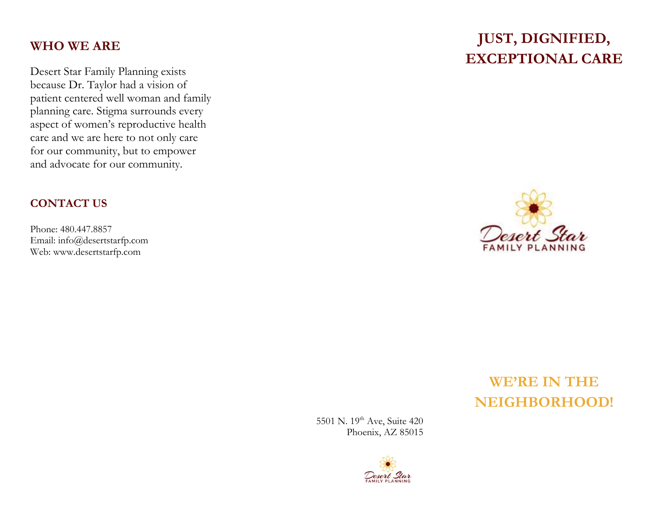## **WHO WE ARE**

Desert Star Family Planning exists because Dr. Taylor had a vision of patient centered well woman and family planning care. Stigma surrounds every aspect of women's reproductive health care and we are here to not only care for our community, but to empower and advocate for our community.

#### **CONTACT US**

Phone: 480.447.8857 Email: info@desertstarfp.com Web: www.desertstarfp.com

## **JUST, DIGNIFIED, EXCEPTIONAL CARE**



# **WE'RE IN THE NEIGHBORHOOD!**

5501 N. 19<sup>th</sup> Ave, Suite 420 Phoenix, AZ 85015